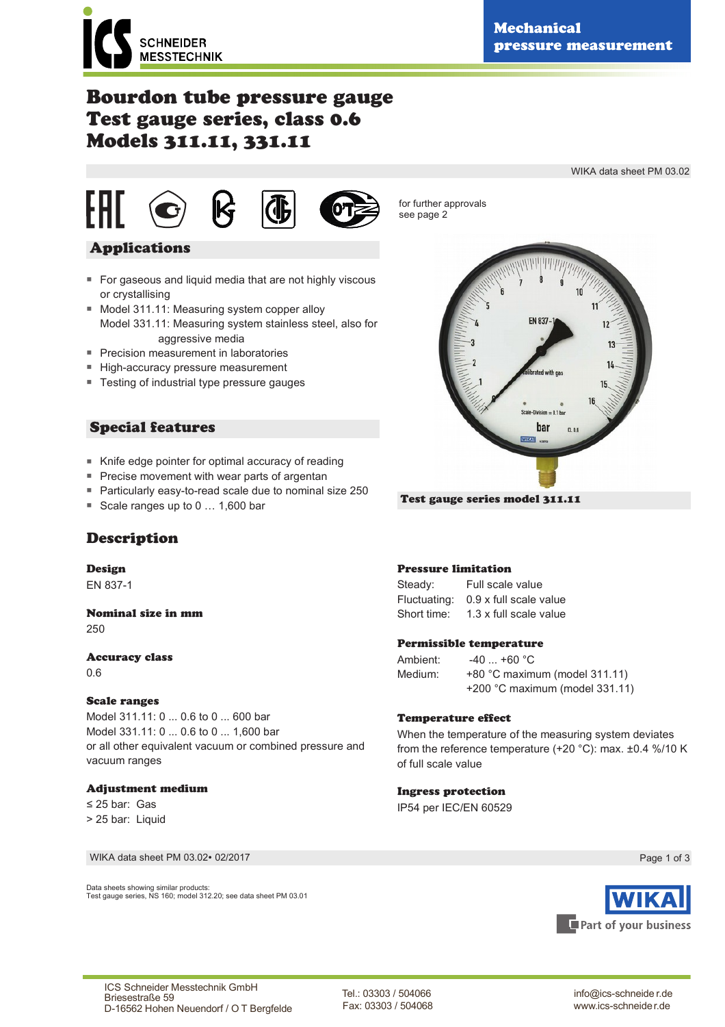WIKA data sheet PM 03.02

# Bourdon tube pressure gauge Test gauge series, class 0.6 Models 311.11, 331.11





for further approvals see page 2

# $n - 0.1$  be bar

Test gauge series model 311.11

# Applications

- For gaseous and liquid media that are not highly viscous or crystallising
- Model 311.11: Measuring system copper alloy Model 331.11: Measuring system stainless steel, also for aggressive media
- Precision measurement in laboratories
- High-accuracy pressure measurement
- Testing of industrial type pressure gauges

# Special features

- Knife edge pointer for optimal accuracy of reading
- Precise movement with wear parts of argentan
- Particularly easy-to-read scale due to nominal size 250
- Scale ranges up to 0 ... 1,600 bar



# Design

EN 837-1

#### Nominal size in mm 250

# Accuracy class

0.6

# Scale ranges

Model 311.11: 0 ... 0.6 to 0 ... 600 bar Model 331.11: 0 ... 0.6 to 0 ... 1,600 bar or all other equivalent vacuum or combined pressure and vacuum ranges

# Adjustment medium

≤ 25 bar: Gas > 25 bar: Liquid

WIKA data sheet PM 03.02∙ 02/2017

Data sheets showing similar products: Test gauge series, NS 160; model 312.20; see data sheet PM 03.01

# Pressure limitation

Steady: Full scale value Fluctuating: 0.9 x full scale value Short time: 1.3 x full scale value

#### Permissible temperature

Ambient: -40 ... +60 °C Medium: +80 °C maximum (model 311.11) +200 °C maximum (model 331.11)

#### Temperature effect

When the temperature of the measuring system deviates from the reference temperature (+20 °C): max. ±0.4 %/10 K of full scale value

#### Ingress protection

IP54 per IEC/EN 60529

Page 1 of 3



Tel.: 03303 / 504066 Fax: 03303 / 504068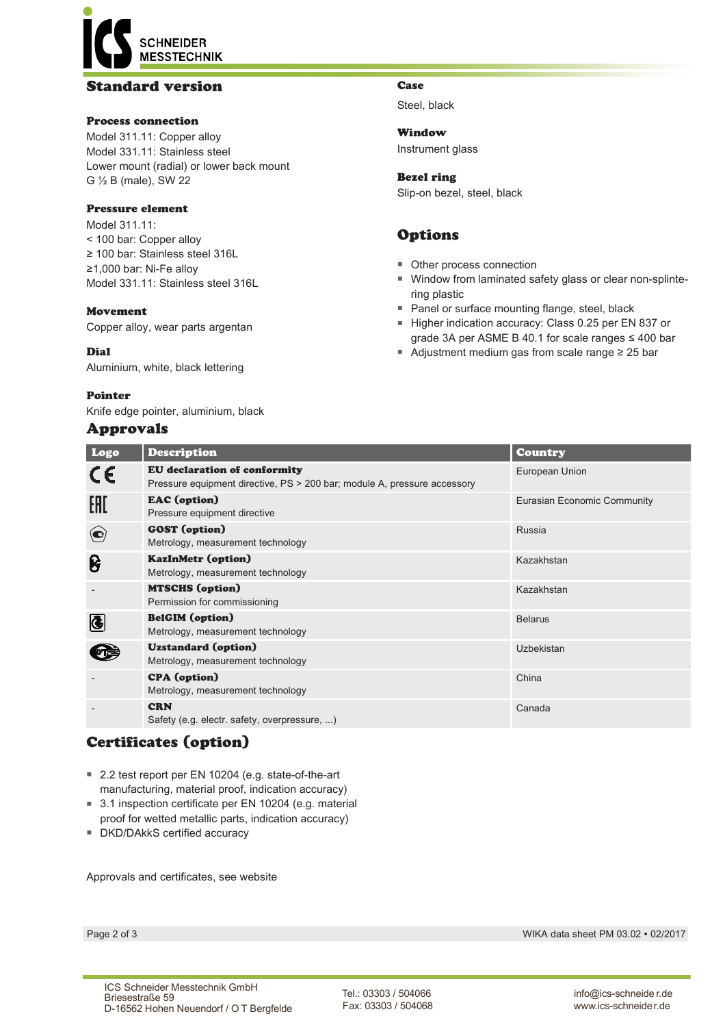# **SCHNEIDER MESSTECHNIK**

# Standard version

# Process connection

Model 311.11: Copper alloy Model 331.11: Stainless steel Lower mount (radial) or lower back mount G ½ B (male), SW 22

#### Pressure element

Model 311 11<sup>-</sup> < 100 bar: Copper alloy ≥ 100 bar: Stainless steel 316L ≥1,000 bar: Ni-Fe alloy Model 331.11: Stainless steel 316L

#### Movement

Copper alloy, wear parts argentan

#### Dial

Aluminium, white, black lettering

#### Pointer

Knife edge pointer, aluminium, black

# Approvals

#### Case

Steel, black

Window Instrument glass

Bezel ring Slip-on bezel, steel, black

# Options

- Other process connection
- Window from laminated safety glass or clear non-splintering plastic
- Panel or surface mounting flange, steel, black
- Higher indication accuracy: Class 0.25 per EN 837 or grade 3A per ASME B 40.1 for scale ranges ≤ 400 bar
- Adjustment medium gas from scale range ≥ 25 bar

| Logo                     | <b>Description</b>                                                                                              | <b>Country</b>              |
|--------------------------|-----------------------------------------------------------------------------------------------------------------|-----------------------------|
| CE                       | <b>EU</b> declaration of conformity<br>Pressure equipment directive, PS > 200 bar; module A, pressure accessory | European Union              |
| EAC                      | <b>EAC</b> (option)<br>Pressure equipment directive                                                             | Eurasian Economic Community |
| $\left( \bullet \right)$ | <b>GOST</b> (option)<br>Metrology, measurement technology                                                       | Russia                      |
| ၆                        | <b>KazInMetr (option)</b><br>Metrology, measurement technology                                                  | Kazakhstan                  |
|                          | <b>MTSCHS</b> (option)<br>Permission for commissioning                                                          | Kazakhstan                  |
| 4                        | <b>BelGIM</b> (option)<br>Metrology, measurement technology                                                     | <b>Belarus</b>              |
|                          | <b>Uzstandard</b> (option)<br>Metrology, measurement technology                                                 | Uzbekistan                  |
|                          | <b>CPA</b> (option)<br>Metrology, measurement technology                                                        | China                       |
|                          | <b>CRN</b><br>Safety (e.g. electr. safety, overpressure, )                                                      | Canada                      |

# Certificates (option)

- 2.2 test report per EN 10204 (e.g. state-of-the-art manufacturing, material proof, indication accuracy)
- 3.1 inspection certificate per EN 10204 (e.g. material proof for wetted metallic parts, indication accuracy)
- DKD/DAkkS certified accuracy

Approvals and certificates, see website

Page 2 of 3 WIKA data sheet PM 03.02 ∙ 02/2017